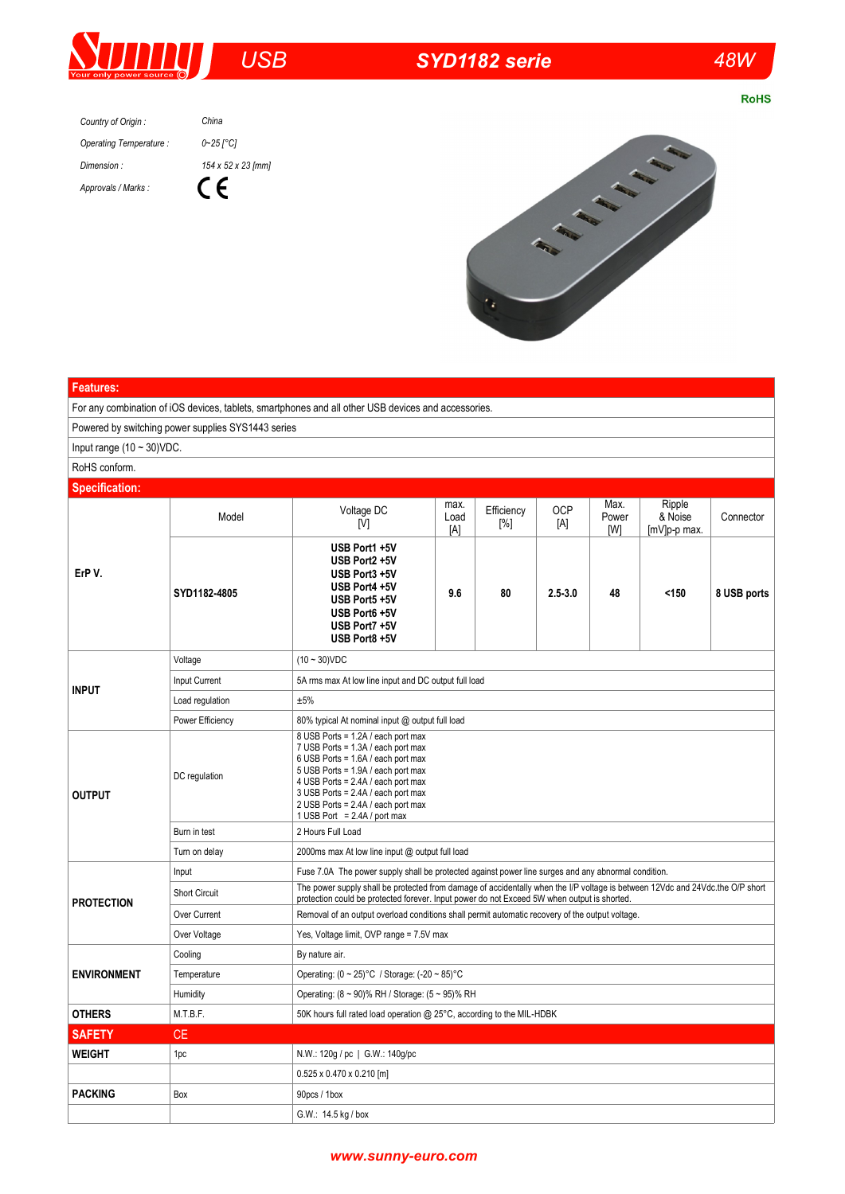

## *USB SYD1182 serie 48W*

**RoHS** 

*Country of Origin : Operating Temperature : Dimension : Approvals / Marks : China*





## **Features:** For any combination of iOS devices, tablets, smartphones and all other USB devices and accessories. Powered by switching power supplies SYS1443 series Input range (10 ~ 30)VDC. RoHS conform. **Specification: ErP V.** Model Voltage DC [V] max. Load [A] Efficiency [%] **OCP** [A] Max. Power [W] Ripple & Noise [mV]p-p max. **Connector SYD1182-4805 USB Port1 +5V USB Port2 +5V USB Port3 +5V USB Port4 +5V USB Port5 +5V USB Port6 +5V USB Port7 +5V USB Port8 +5V 9.6 80 2.5-3.0 48 <150 8 USB ports INPUT** Voltage (10 ~ 30)VDC Input Current 5A rms max At low line input and DC output full load Load regulation  $\pm 5\%$ Power Efficiency 80% typical At nominal input @ output full load **OUTPUT** DC regulation 8 USB Ports = 1.2A / each port max 7 USB Ports = 1.3A / each port max 6 USB Ports = 1.6A / each port max 5 USB Ports = 1.9A / each port max 4 USB Ports = 2.4A / each port max 3 USB Ports = 2.4A / each port max 2 USB Ports = 2.4A / each port max 1 USB Port =  $2.4A/$  port max Burn in test 2 Hours Full Load Turn on delay 2000ms max At low line input @ output full load **PROTECTION** Input Fuse 7.0A The power supply shall be protected against power line surges and any abnormal condition. Short Circuit The power supply shall be protected from damage of accidentally when the I/P voltage is between 12Vdc and 24Vdc.the O/P short protection could be protected forever. Input power do not Exceed 5W when output is shorted. Over Current Removal of an output overload conditions shall permit automatic recovery of the output voltage. Over Voltage Yes, Voltage limit, OVP range = 7.5V max **ENVIRONMENT** Cooling By nature air. Temperature Operating: (0 ~ 25)°C / Storage: (-20 ~ 85)°C Humidity Operating: (8 ~ 90)% RH / Storage: (5 ~ 95)% RH **OTHERS** M.T.B.F. 50K hours full rated load operation @ 25°C, according to the MIL-HDBK **SAFETY** CE **WEIGHT** 1pc 10.W.: 120g / pc | G.W.: 140g/pc 0.525 x 0.470 x 0.210 [m] **PACKING** Box 90pcs / 1box G.W.: 14.5 kg / box